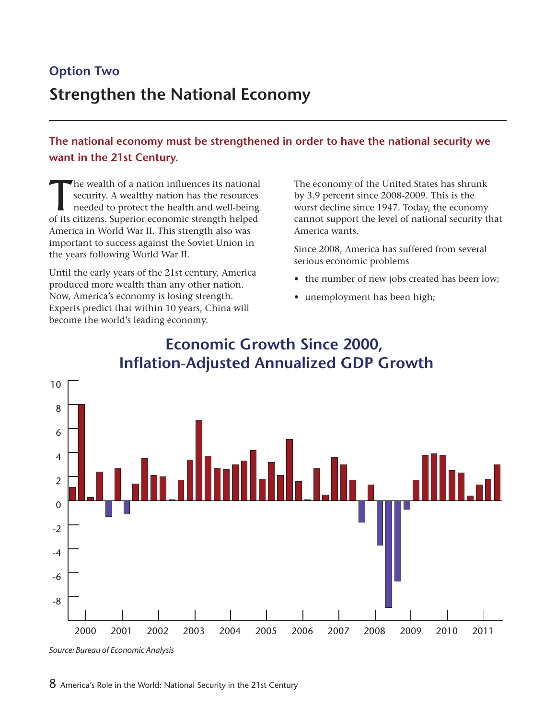# **Option Two Strengthen the National Economy**

**The national economy must be strengthened in order to have the national security we want in the 21st Century.**

The wealth of a nation influences its national<br>
security. A wealthy nation has the resources<br>
needed to protect the health and well-being<br>
of its citizens. Supprier, economic strength helped security. A wealthy nation has the resources of its citizens. Superior economic strength helped America in World War II. This strength also was important to success against the Soviet Union in the years following World War II.

Until the early years of the 21st century, America produced more wealth than any other nation. Now, America's economy is losing strength. Experts predict that within 10 years, China will become the world's leading economy.

The economy of the United States has shrunk by 3.9 percent since 2008-2009. This is the worst decline since 1947. Today, the economy cannot support the level of national security that America wants.

Since 2008, America has suffered from several serious economic problems

- the number of new jobs created has been low;
- unemployment has been high;



### **Economic Growth Since 2000, Inflation-Adjusted Annualized GDP Growth**

*Source: Bureau of Economic Analysis*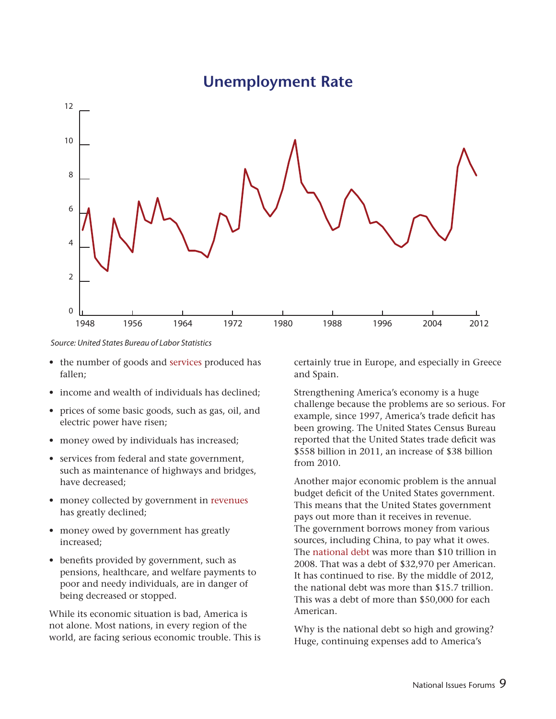### **Unemployment Rate**



*Source: United States Bureau of Labor Statistics*

- the number of goods and services produced has fallen;
- income and wealth of individuals has declined;
- prices of some basic goods, such as gas, oil, and electric power have risen;
- money owed by individuals has increased;
- • services from federal and state government, such as maintenance of highways and bridges, have decreased;
- money collected by government in revenues has greatly declined;
- money owed by government has greatly increased;
- benefits provided by government, such as pensions, healthcare, and welfare payments to poor and needy individuals, are in danger of being decreased or stopped.

While its economic situation is bad, America is not alone. Most nations, in every region of the world, are facing serious economic trouble. This is certainly true in Europe, and especially in Greece and Spain.

Strengthening America's economy is a huge challenge because the problems are so serious. For example, since 1997, America's trade deficit has been growing. The United States Census Bureau reported that the United States trade deficit was \$558 billion in 2011, an increase of \$38 billion from 2010.

Another major economic problem is the annual budget deficit of the United States government. This means that the United States government pays out more than it receives in revenue. The government borrows money from various sources, including China, to pay what it owes. The national debt was more than \$10 trillion in 2008. That was a debt of \$32,970 per American. It has continued to rise. By the middle of 2012, the national debt was more than \$15.7 trillion. This was a debt of more than \$50,000 for each American.

Why is the national debt so high and growing? Huge, continuing expenses add to America's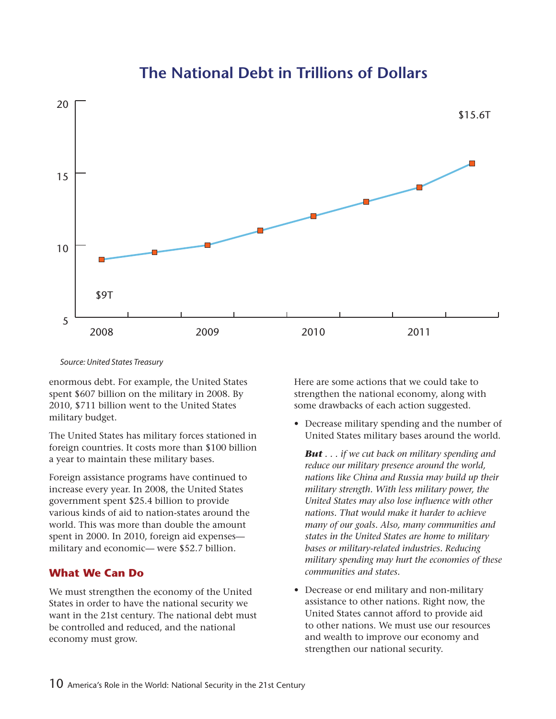## **The National Debt in Trillions of Dollars**



#### *Source: United States Treasury*

enormous debt. For example, the United States spent \$607 billion on the military in 2008. By 2010, \$711 billion went to the United States military budget.

The United States has military forces stationed in foreign countries. It costs more than \$100 billion a year to maintain these military bases.

Foreign assistance programs have continued to increase every year. In 2008, the United States government spent \$25.4 billion to provide various kinds of aid to nation-states around the world. This was more than double the amount spent in 2000. In 2010, foreign aid expenses military and economic— were \$52.7 billion.

#### **What We Can Do**

We must strengthen the economy of the United States in order to have the national security we want in the 21st century. The national debt must be controlled and reduced, and the national economy must grow.

Here are some actions that we could take to strengthen the national economy, along with some drawbacks of each action suggested.

• Decrease military spending and the number of United States military bases around the world.

*But . . . if we cut back on military spending and reduce our military presence around the world, nations like China and Russia may build up their military strength. With less military power, the United States may also lose influence with other nations. That would make it harder to achieve many of our goals. Also, many communities and states in the United States are home to military bases or military-related industries. Reducing military spending may hurt the economies of these communities and states.*

• Decrease or end military and non-military assistance to other nations. Right now, the United States cannot afford to provide aid to other nations. We must use our resources and wealth to improve our economy and strengthen our national security.